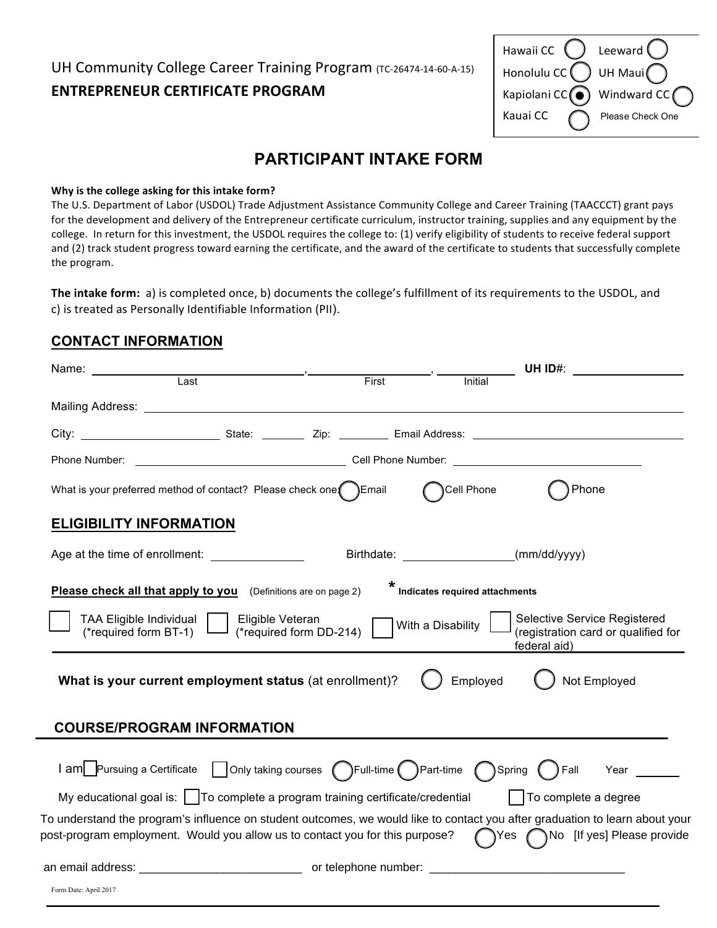# UH Community College Career Training Program (TC-26474-14-60-A-15) **ENTREPRENEUR CERTIFICATE PROGRAM**

| Hawaii CC (               | Leeward (        |
|---------------------------|------------------|
| Honolulu $cc$ $($         | UH Maui          |
| Kapiolani CC <sup>(</sup> | Windward CC      |
| Kauai CC                  | Please Check One |

# **PARTICIPANT INTAKE FORM**

## **Why is the college asking for this intake form?**

The U.S. Department of Labor (USDOL) Trade Adjustment Assistance Community College and Career Training (TAACCCT) grant pays for the development and delivery of the Entrepreneur certificate curriculum, instructor training, supplies and any equipment by the college. In return for this investment, the USDOL requires the college to: (1) verify eligibility of students to receive federal support and (2) track student progress toward earning the certificate, and the award of the certificate to students that successfully complete the program.

The intake form: a) is completed once, b) documents the college's fulfillment of its requirements to the USDOL, and c) is treated as Personally Identifiable Information (PII).

# **CONTACT INFORMATION**

| Name: ____________                                                                                                                                                                                                                   |  |       |                                               | UH $ID#$ :                                                                                                                                                               |
|--------------------------------------------------------------------------------------------------------------------------------------------------------------------------------------------------------------------------------------|--|-------|-----------------------------------------------|--------------------------------------------------------------------------------------------------------------------------------------------------------------------------|
| Last                                                                                                                                                                                                                                 |  | First | Initial                                       |                                                                                                                                                                          |
| Mailing Address: <u>Andreas Address and Additional Address and Additional Address and Address and Additional Address and Address and Address and Address and Additional Address and Additional Address and Address and Additiona</u> |  |       |                                               |                                                                                                                                                                          |
|                                                                                                                                                                                                                                      |  |       |                                               |                                                                                                                                                                          |
|                                                                                                                                                                                                                                      |  |       |                                               |                                                                                                                                                                          |
| What is your preferred method of contact? Please check one [ ] Email                                                                                                                                                                 |  |       | Cell Phone                                    | Phone                                                                                                                                                                    |
| <b>ELIGIBILITY INFORMATION</b>                                                                                                                                                                                                       |  |       |                                               |                                                                                                                                                                          |
| Age at the time of enrollment:                                                                                                                                                                                                       |  |       | Birthdate: ______________________(mm/dd/yyyy) |                                                                                                                                                                          |
| Indicates required attachments<br>Please check all that apply to you (Definitions are on page 2)                                                                                                                                     |  |       |                                               |                                                                                                                                                                          |
| Selective Service Registered<br><b>TAA Eligible Individual</b><br>Eligible Veteran<br>With a Disability<br>(*required form DD-214)<br>(registration card or qualified for<br>(*required form BT-1)<br>federal aid)                   |  |       |                                               |                                                                                                                                                                          |
| Employed<br>What is your current employment status (at enrollment)?<br>Not Employed                                                                                                                                                  |  |       |                                               |                                                                                                                                                                          |
| <b>COURSE/PROGRAM INFORMATION</b>                                                                                                                                                                                                    |  |       |                                               |                                                                                                                                                                          |
| Only taking courses ( )Full-time ( )Part-time ( )Spring (<br>I am Pursuing a Certificate<br>)Fall<br>Year                                                                                                                            |  |       |                                               |                                                                                                                                                                          |
| My educational goal is: $\vert \vert$ To complete a program training certificate/credential                                                                                                                                          |  |       |                                               | To complete a degree                                                                                                                                                     |
| post-program employment. Would you allow us to contact you for this purpose?                                                                                                                                                         |  |       |                                               | To understand the program's influence on student outcomes, we would like to contact you after graduation to learn about your<br>Yes $\bigcap$ No [If yes] Please provide |
|                                                                                                                                                                                                                                      |  |       |                                               |                                                                                                                                                                          |
| Form Date: April 2017                                                                                                                                                                                                                |  |       |                                               |                                                                                                                                                                          |